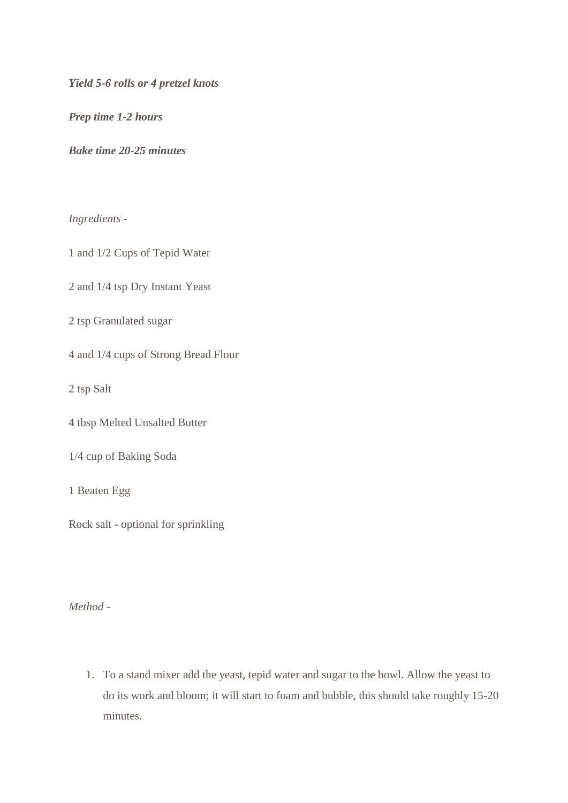*Yield 5-6 rolls or 4 pretzel knots*

*Prep time 1-2 hours*

*Bake time 20-25 minutes*

*Ingredients -*

1 and 1/2 Cups of Tepid Water

2 and 1/4 tsp Dry Instant Yeast

2 tsp Granulated sugar

4 and 1/4 cups of Strong Bread Flour

2 tsp Salt

4 tbsp Melted Unsalted Butter

1/4 cup of Baking Soda

1 Beaten Egg

Rock salt - optional for sprinkling

*Method -*

1. To a stand mixer add the yeast, tepid water and sugar to the bowl. Allow the yeast to do its work and bloom; it will start to foam and bubble, this should take roughly 15-20 minutes.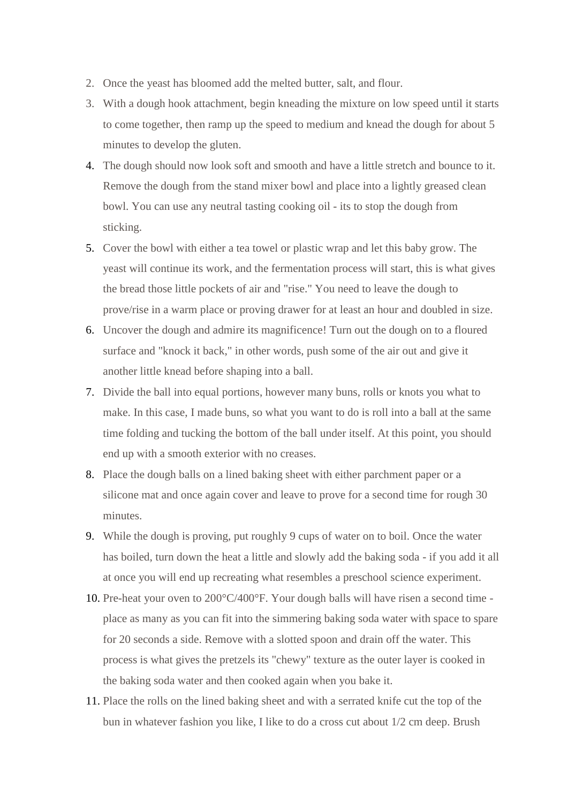- 2. Once the yeast has bloomed add the melted butter, salt, and flour.
- 3. With a dough hook attachment, begin kneading the mixture on low speed until it starts to come together, then ramp up the speed to medium and knead the dough for about 5 minutes to develop the gluten.
- 4. The dough should now look soft and smooth and have a little stretch and bounce to it. Remove the dough from the stand mixer bowl and place into a lightly greased clean bowl. You can use any neutral tasting cooking oil - its to stop the dough from sticking.
- 5. Cover the bowl with either a tea towel or plastic wrap and let this baby grow. The yeast will continue its work, and the fermentation process will start, this is what gives the bread those little pockets of air and "rise." You need to leave the dough to prove/rise in a warm place or proving drawer for at least an hour and doubled in size.
- 6. Uncover the dough and admire its magnificence! Turn out the dough on to a floured surface and "knock it back," in other words, push some of the air out and give it another little knead before shaping into a ball.
- 7. Divide the ball into equal portions, however many buns, rolls or knots you what to make. In this case, I made buns, so what you want to do is roll into a ball at the same time folding and tucking the bottom of the ball under itself. At this point, you should end up with a smooth exterior with no creases.
- 8. Place the dough balls on a lined baking sheet with either parchment paper or a silicone mat and once again cover and leave to prove for a second time for rough 30 minutes.
- 9. While the dough is proving, put roughly 9 cups of water on to boil. Once the water has boiled, turn down the heat a little and slowly add the baking soda - if you add it all at once you will end up recreating what resembles a preschool science experiment.
- 10. Pre-heat your oven to 200°C/400°F. Your dough balls will have risen a second time place as many as you can fit into the simmering baking soda water with space to spare for 20 seconds a side. Remove with a slotted spoon and drain off the water. This process is what gives the pretzels its "chewy" texture as the outer layer is cooked in the baking soda water and then cooked again when you bake it.
- 11. Place the rolls on the lined baking sheet and with a serrated knife cut the top of the bun in whatever fashion you like, I like to do a cross cut about 1/2 cm deep. Brush